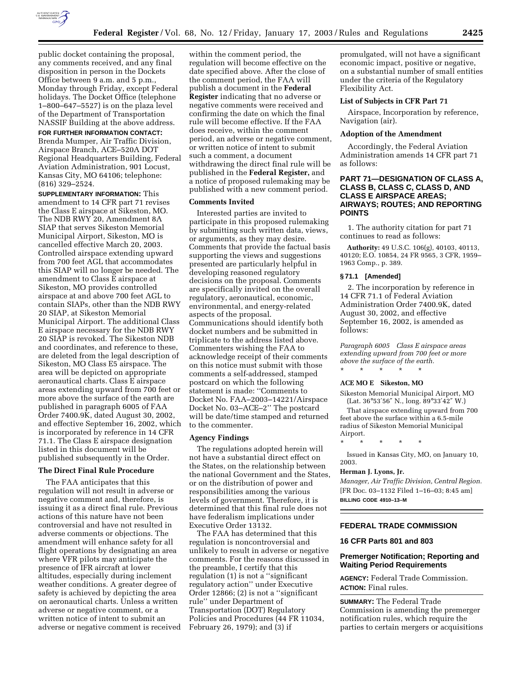

public docket containing the proposal, any comments received, and any final disposition in person in the Dockets Office between 9 a.m. and 5 p.m., Monday through Friday, except Federal holidays. The Docket Office (telephone 1–800–647–5527) is on the plaza level of the Department of Transportation NASSIF Building at the above address.

**FOR FURTHER INFORMATION CONTACT:** Brenda Mumper, Air Traffic Division, Airspace Branch, ACE–520A DOT Regional Headquarters Building, Federal Aviation Administration, 901 Locust, Kansas City, MO 64106; telephone: (816) 329–2524.

**SUPPLEMENTARY INFORMATION:** This amendment to 14 CFR part 71 revises the Class E airspace at Sikeston, MO. The NDB RWY 20, Amendment 8A SIAP that serves Sikeston Memorial Municipal Airport, Sikeston, MO is cancelled effective March 20, 2003. Controlled airspace extending upward from 700 feet AGL that accommodates this SIAP will no longer be needed. The amendment to Class E airspace at Sikeston, MO provides controlled airspace at and above 700 feet AGL to contain SIAPs, other than the NDB RWY 20 SIAP, at Sikeston Memorial Municipal Airport. The additional Class E airspace necessary for the NDB RWY 20 SIAP is revoked. The Sikeston NDB and coordinates, and reference to these, are deleted from the legal description of Sikeston, MO Class E5 airspace. The area will be depicted on appropriate aeronautical charts. Class E airspace areas extending upward from 700 feet or more above the surface of the earth are published in paragraph 6005 of FAA Order 7400.9K, dated August 30, 2002, and effective September 16, 2002, which is incorporated by reference in 14 CFR 71.1. The Class E airspace designation listed in this document will be published subsequently in the Order.

### **The Direct Final Rule Procedure**

The FAA anticipates that this regulation will not result in adverse or negative comment and, therefore, is issuing it as a direct final rule. Previous actions of this nature have not been controversial and have not resulted in adverse comments or objections. The amendment will enhance safety for all flight operations by designating an area where VFR pilots may anticipate the presence of IFR aircraft at lower altitudes, especially during inclement weather conditions. A greater degree of safety is achieved by depicting the area on aeronautical charts. Unless a written adverse or negative comment, or a written notice of intent to submit an adverse or negative comment is received

within the comment period, the regulation will become effective on the date specified above. After the close of the comment period, the FAA will publish a document in the **Federal Register** indicating that no adverse or negative comments were received and confirming the date on which the final rule will become effective. If the FAA does receive, within the comment period, an adverse or negative comment, or written notice of intent to submit such a comment, a document withdrawing the direct final rule will be published in the **Federal Register,** and a notice of proposed rulemaking may be published with a new comment period.

# **Comments Invited**

Interested parties are invited to participate in this proposed rulemaking by submitting such written data, views, or arguments, as they may desire. Comments that provide the factual basis supporting the views and suggestions presented are particularly helpful in developing reasoned regulatory decisions on the proposal. Comments are specifically invited on the overall regulatory, aeronautical, economic, environmental, and energy-related aspects of the proposal. Communications should identify both docket numbers and be submitted in triplicate to the address listed above. Commenters wishing the FAA to acknowledge receipt of their comments on this notice must submit with those comments a self-addressed, stamped postcard on which the following statement is made: ''Comments to Docket No. FAA–2003–14221/Airspace Docket No. 03–ACE–2'' The postcard will be date/time stamped and returned to the commenter.

### **Agency Findings**

The regulations adopted herein will not have a substantial direct effect on the States, on the relationship between the national Government and the States, or on the distribution of power and responsibilities among the various levels of government. Therefore, it is determined that this final rule does not have federalism implications under Executive Order 13132.

The FAA has determined that this regulation is noncontroversial and unlikely to result in adverse or negative comments. For the reasons discussed in the preamble, I certify that this regulation (1) is not a ''significant regulatory action'' under Executive Order 12866; (2) is not a ''significant rule'' under Department of Transportation (DOT) Regulatory Policies and Procedures (44 FR 11034, February 26, 1979); and (3) if

promulgated, will not have a significant economic impact, positive or negative, on a substantial number of small entities under the criteria of the Regulatory Flexibility Act.

### **List of Subjects in CFR Part 71**

Airspace, Incorporation by reference, Navigation (air).

#### **Adoption of the Amendment**

Accordingly, the Federal Aviation Administration amends 14 CFR part 71 as follows:

# **PART 71—DESIGNATION OF CLASS A, CLASS B, CLASS C, CLASS D, AND CLASS E AIRSPACE AREAS; AIRWAYS; ROUTES; AND REPORTING POINTS**

1. The authority citation for part 71 continues to read as follows:

**Authority:** 49 U.S.C. 106(g), 40103, 40113, 40120; E.O. 10854, 24 FR 9565, 3 CFR, 1959– 1963 Comp., p. 389.

#### **§ 71.1 [Amended]**

2. The incorporation by reference in 14 CFR 71.1 of Federal Aviation Administration Order 7400.9K, dated August 30, 2002, and effective September 16, 2002, is amended as follows:

*Paragraph 6005 Class E airspace areas extending upward from 700 feet or more above the surface of the earth.*

# \* \* \* \* \* **ACE MO E Sikeston, MO**

Sikeston Memorial Municipal Airport, MO (Lat. 36°53′56″ N., long. 89°33′42″ W.)

That airspace extending upward from 700 feet above the surface within a 6.5-mile radius of Sikeston Memorial Municipal Airport.

\* \* \* \* \*

Issued in Kansas City, MO, on January 10, 2003.

### **Herman J. Lyons, Jr.**

*Manager, Air Traffic Division, Central Region.* [FR Doc. 03–1132 Filed 1–16–03; 8:45 am] **BILLING CODE 4910–13–M**

# **FEDERAL TRADE COMMISSION**

### **16 CFR Parts 801 and 803**

# **Premerger Notification; Reporting and Waiting Period Requirements**

**AGENCY:** Federal Trade Commission. **ACTION:** Final rules.

**SUMMARY:** The Federal Trade Commission is amending the premerger notification rules, which require the parties to certain mergers or acquisitions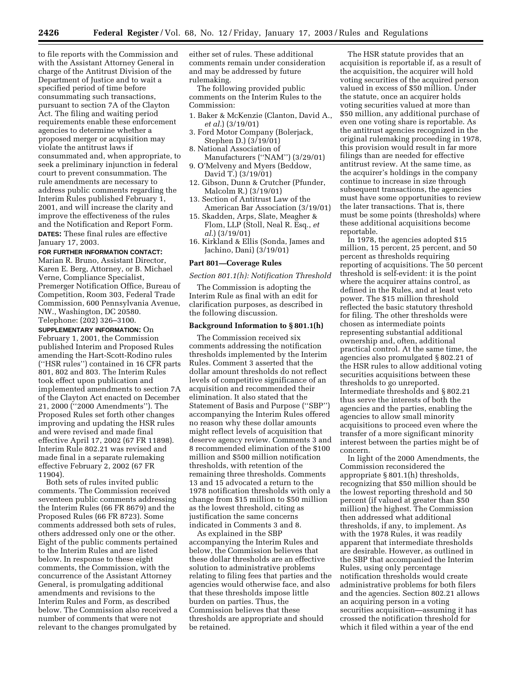to file reports with the Commission and with the Assistant Attorney General in charge of the Antitrust Division of the Department of Justice and to wait a specified period of time before consummating such transactions, pursuant to section 7A of the Clayton Act. The filing and waiting period requirements enable these enforcement agencies to determine whether a proposed merger or acquisition may violate the antitrust laws if consummated and, when appropriate, to seek a preliminary injunction in federal court to prevent consummation. The rule amendments are necessary to address public comments regarding the Interim Rules published February 1, 2001, and will increase the clarity and improve the effectiveness of the rules and the Notification and Report Form. **DATES:** These final rules are effective January 17, 2003.

#### **FOR FURTHER INFORMATION CONTACT:**

Marian R. Bruno, Assistant Director, Karen E. Berg, Attorney, or B. Michael Verne, Compliance Specialist, Premerger Notification Office, Bureau of Competition, Room 303, Federal Trade Commission, 600 Pennsylvania Avenue, NW., Washington, DC 20580. Telephone: (202) 326–3100.

**SUPPLEMENTARY INFORMATION:** On February 1, 2001, the Commission published Interim and Proposed Rules amending the Hart-Scott-Rodino rules (''HSR rules'') contained in 16 CFR parts 801, 802 and 803. The Interim Rules took effect upon publication and implemented amendments to section 7A of the Clayton Act enacted on December 21, 2000 (''2000 Amendments''). The Proposed Rules set forth other changes improving and updating the HSR rules and were revised and made final effective April 17, 2002 (67 FR 11898). Interim Rule 802.21 was revised and made final in a separate rulemaking effective February 2, 2002 (67 FR 11904).

Both sets of rules invited public comments. The Commission received seventeen public comments addressing the Interim Rules (66 FR 8679) and the Proposed Rules (66 FR 8723). Some comments addressed both sets of rules, others addressed only one or the other. Eight of the public comments pertained to the Interim Rules and are listed below. In response to these eight comments, the Commission, with the concurrence of the Assistant Attorney General, is promulgating additional amendments and revisions to the Interim Rules and Form, as described below. The Commission also received a number of comments that were not relevant to the changes promulgated by

either set of rules. These additional comments remain under consideration and may be addressed by future rulemaking.

The following provided public comments on the Interim Rules to the Commission:

- 1. Baker & McKenzie (Clanton, David A., *et al.*) (3/19/01)
- 3. Ford Motor Company (Bolerjack, Stephen D.) (3/19/01)
- 8. National Association of
- Manufacturers (''NAM'') (3/29/01) 9. O'Melveny and Myers (Beddow, David T.) (3/19/01)
- 12. Gibson, Dunn & Crutcher (Pfunder, Malcolm R.) (3/19/01)
- 13. Section of Antitrust Law of the American Bar Association (3/19/01)
- 15. Skadden, Arps, Slate, Meagher & Flom, LLP (Stoll, Neal R. Esq., *et al.*) (3/19/01)
- 16. Kirkland & Ellis (Sonda, James and Jachino, Dani) (3/19/01)

#### **Part 801—Coverage Rules**

*Section 801.1(h): Notification Threshold* 

The Commission is adopting the Interim Rule as final with an edit for clarification purposes, as described in the following discussion.

#### **Background Information to § 801.1(h)**

The Commission received six comments addressing the notification thresholds implemented by the Interim Rules. Comment 3 asserted that the dollar amount thresholds do not reflect levels of competitive significance of an acquisition and recommended their elimination. It also stated that the Statement of Basis and Purpose (''SBP'') accompanying the Interim Rules offered no reason why these dollar amounts might reflect levels of acquisition that deserve agency review. Comments 3 and 8 recommended elimination of the \$100 million and \$500 million notification thresholds, with retention of the remaining three thresholds. Comments 13 and 15 advocated a return to the 1978 notification thresholds with only a change from \$15 million to \$50 million as the lowest threshold, citing as justification the same concerns indicated in Comments 3 and 8.

As explained in the SBP accompanying the Interim Rules and below, the Commission believes that these dollar thresholds are an effective solution to administrative problems relating to filing fees that parties and the agencies would otherwise face, and also that these thresholds impose little burden on parties. Thus, the Commission believes that these thresholds are appropriate and should be retained.

The HSR statute provides that an acquisition is reportable if, as a result of the acquisition, the acquirer will hold voting securities of the acquired person valued in excess of \$50 million. Under the statute, once an acquirer holds voting securities valued at more than \$50 million, any additional purchase of even one voting share is reportable. As the antitrust agencies recognized in the original rulemaking proceeding in 1978, this provision would result in far more filings than are needed for effective antitrust review. At the same time, as the acquirer's holdings in the company continue to increase in size through subsequent transactions, the agencies must have some opportunities to review the later transactions. That is, there must be some points (thresholds) where these additional acquisitions become reportable.

In 1978, the agencies adopted \$15 million, 15 percent, 25 percent, and 50 percent as thresholds requiring reporting of acquisitions. The 50 percent threshold is self-evident: it is the point where the acquirer attains control, as defined in the Rules, and at least veto power. The \$15 million threshold reflected the basic statutory threshold for filing. The other thresholds were chosen as intermediate points representing substantial additional ownership and, often, additional practical control. At the same time, the agencies also promulgated § 802.21 of the HSR rules to allow additional voting securities acquisitions between these thresholds to go unreported. Intermediate thresholds and § 802.21 thus serve the interests of both the agencies and the parties, enabling the agencies to allow small minority acquisitions to proceed even where the transfer of a more significant minority interest between the parties might be of concern.

In light of the 2000 Amendments, the Commission reconsidered the appropriate § 801.1(h) thresholds, recognizing that \$50 million should be the lowest reporting threshold and 50 percent (if valued at greater than \$50 million) the highest. The Commission then addressed what additional thresholds, if any, to implement. As with the 1978 Rules, it was readily apparent that intermediate thresholds are desirable. However, as outlined in the SBP that accompanied the Interim Rules, using only percentage notification thresholds would create administrative problems for both filers and the agencies. Section 802.21 allows an acquiring person in a voting securities acquisition—assuming it has crossed the notification threshold for which it filed within a year of the end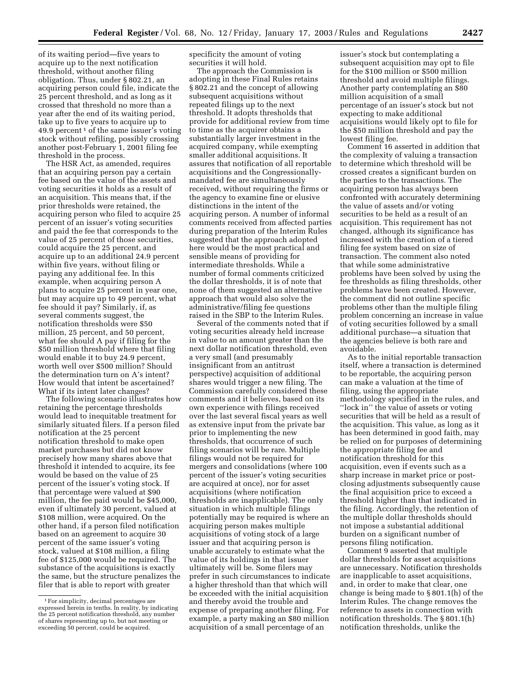of its waiting period—five years to acquire up to the next notification threshold, without another filing obligation. Thus, under § 802.21, an acquiring person could file, indicate the 25 percent threshold, and as long as it crossed that threshold no more than a year after the end of its waiting period, take up to five years to acquire up to 49.9 percent<sup>1</sup> of the same issuer's voting stock without refiling, possibly crossing another post-February 1, 2001 filing fee threshold in the process.

The HSR Act, as amended, requires that an acquiring person pay a certain fee based on the value of the assets and voting securities it holds as a result of an acquisition. This means that, if the prior thresholds were retained, the acquiring person who filed to acquire 25 percent of an issuer's voting securities and paid the fee that corresponds to the value of 25 percent of those securities, could acquire the 25 percent, and acquire up to an additional 24.9 percent within five years, without filing or paying any additional fee. In this example, when acquiring person A plans to acquire 25 percent in year one, but may acquire up to 49 percent, what fee should it pay? Similarly, if, as several comments suggest, the notification thresholds were \$50 million, 25 percent, and 50 percent, what fee should A pay if filing for the \$50 million threshold where that filing would enable it to buy 24.9 percent, worth well over \$500 million? Should the determination turn on A's intent? How would that intent be ascertained? What if its intent later changes?

The following scenario illustrates how retaining the percentage thresholds would lead to inequitable treatment for similarly situated filers. If a person filed notification at the 25 percent notification threshold to make open market purchases but did not know precisely how many shares above that threshold it intended to acquire, its fee would be based on the value of 25 percent of the issuer's voting stock. If that percentage were valued at \$90 million, the fee paid would be \$45,000, even if ultimately 30 percent, valued at \$108 million, were acquired. On the other hand, if a person filed notification based on an agreement to acquire 30 percent of the same issuer's voting stock, valued at \$108 million, a filing fee of \$125,000 would be required. The substance of the acquisitions is exactly the same, but the structure penalizes the filer that is able to report with greater

specificity the amount of voting securities it will hold.

The approach the Commission is adopting in these Final Rules retains § 802.21 and the concept of allowing subsequent acquisitions without repeated filings up to the next threshold. It adopts thresholds that provide for additional review from time to time as the acquirer obtains a substantially larger investment in the acquired company, while exempting smaller additional acquisitions. It assures that notification of all reportable acquisitions and the Congressionallymandated fee are simultaneously received, without requiring the firms or the agency to examine fine or elusive distinctions in the intent of the acquiring person. A number of informal comments received from affected parties during preparation of the Interim Rules suggested that the approach adopted here would be the most practical and sensible means of providing for intermediate thresholds. While a number of formal comments criticized the dollar thresholds, it is of note that none of them suggested an alternative approach that would also solve the administrative/filing fee questions raised in the SBP to the Interim Rules.

Several of the comments noted that if voting securities already held increase in value to an amount greater than the next dollar notification threshold, even a very small (and presumably insignificant from an antitrust perspective) acquisition of additional shares would trigger a new filing. The Commission carefully considered these comments and it believes, based on its own experience with filings received over the last several fiscal years as well as extensive input from the private bar prior to implementing the new thresholds, that occurrence of such filing scenarios will be rare. Multiple filings would not be required for mergers and consolidations (where 100 percent of the issuer's voting securities are acquired at once), nor for asset acquisitions (where notification thresholds are inapplicable). The only situation in which multiple filings potentially may be required is where an acquiring person makes multiple acquisitions of voting stock of a large issuer and that acquiring person is unable accurately to estimate what the value of its holdings in that issuer ultimately will be. Some filers may prefer in such circumstances to indicate a higher threshold than that which will be exceeded with the initial acquisition and thereby avoid the trouble and expense of preparing another filing. For example, a party making an \$80 million acquisition of a small percentage of an

issuer's stock but contemplating a subsequent acquisition may opt to file for the \$100 million or \$500 million threshold and avoid multiple filings. Another party contemplating an \$80 million acquisition of a small percentage of an issuer's stock but not expecting to make additional acquisitions would likely opt to file for the \$50 million threshold and pay the lowest filing fee.

Comment 16 asserted in addition that the complexity of valuing a transaction to determine which threshold will be crossed creates a significant burden on the parties to the transactions. The acquiring person has always been confronted with accurately determining the value of assets and/or voting securities to be held as a result of an acquisition. This requirement has not changed, although its significance has increased with the creation of a tiered filing fee system based on size of transaction. The comment also noted that while some administrative problems have been solved by using the fee thresholds as filing thresholds, other problems have been created. However, the comment did not outline specific problems other than the multiple filing problem concerning an increase in value of voting securities followed by a small additional purchase—a situation that the agencies believe is both rare and avoidable.

As to the initial reportable transaction itself, where a transaction is determined to be reportable, the acquiring person can make a valuation at the time of filing, using the appropriate methodology specified in the rules, and ''lock in'' the value of assets or voting securities that will be held as a result of the acquisition. This value, as long as it has been determined in good faith, may be relied on for purposes of determining the appropriate filing fee and notification threshold for this acquisition, even if events such as a sharp increase in market price or postclosing adjustments subsequently cause the final acquisition price to exceed a threshold higher than that indicated in the filing. Accordingly, the retention of the multiple dollar thresholds should not impose a substantial additional burden on a significant number of persons filing notification.

Comment 9 asserted that multiple dollar thresholds for asset acquisitions are unnecessary. Notification thresholds are inapplicable to asset acquisitions, and, in order to make that clear, one change is being made to § 801.1(h) of the Interim Rules. The change removes the reference to assets in connection with notification thresholds. The § 801.1(h) notification thresholds, unlike the

<sup>1</sup>For simplicity, decimal percentages are expressed herein in tenths. In reality, by indicating the 25 percent notification threshold, any number of shares representing up to, but not meeting or exceeding 50 percent, could be acquired.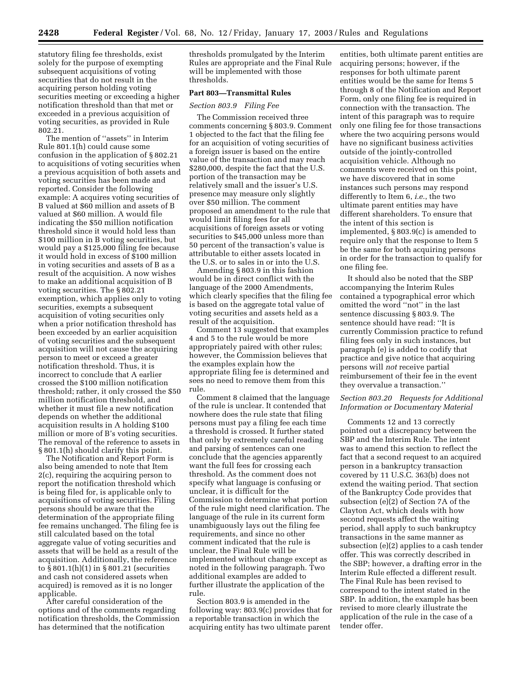statutory filing fee thresholds, exist solely for the purpose of exempting subsequent acquisitions of voting securities that do not result in the acquiring person holding voting securities meeting or exceeding a higher notification threshold than that met or exceeded in a previous acquisition of voting securities, as provided in Rule 802.21.

The mention of ''assets'' in Interim Rule 801.1(h) could cause some confusion in the application of § 802.21 to acquisitions of voting securities when a previous acquisition of both assets and voting securities has been made and reported. Consider the following example: A acquires voting securities of B valued at \$60 million and assets of B valued at \$60 million. A would file indicating the \$50 million notification threshold since it would hold less than \$100 million in B voting securities, but would pay a \$125,000 filing fee because it would hold in excess of \$100 million in voting securities and assets of B as a result of the acquisition. A now wishes to make an additional acquisition of B voting securities. The § 802.21 exemption, which applies only to voting securities, exempts a subsequent acquisition of voting securities only when a prior notification threshold has been exceeded by an earlier acquisition of voting securities and the subsequent acquisition will not cause the acquiring person to meet or exceed a greater notification threshold. Thus, it is incorrect to conclude that A earlier crossed the \$100 million notification threshold; rather, it only crossed the \$50 million notification threshold, and whether it must file a new notification depends on whether the additional acquisition results in A holding \$100 million or more of B's voting securities. The removal of the reference to assets in § 801.1(h) should clarify this point.

The Notification and Report Form is also being amended to note that Item 2(c), requiring the acquiring person to report the notification threshold which is being filed for, is applicable only to acquisitions of voting securities. Filing persons should be aware that the determination of the appropriate filing fee remains unchanged. The filing fee is still calculated based on the total aggregate value of voting securities and assets that will be held as a result of the acquisition. Additionally, the reference to § 801.1(h)(1) in § 801.21 (securities and cash not considered assets when acquired) is removed as it is no longer applicable.

After careful consideration of the options and of the comments regarding notification thresholds, the Commission has determined that the notification

thresholds promulgated by the Interim Rules are appropriate and the Final Rule will be implemented with those thresholds.

## **Part 803—Transmittal Rules**

#### *Section 803.9 Filing Fee*

The Commission received three comments concerning § 803.9. Comment 1 objected to the fact that the filing fee for an acquisition of voting securities of a foreign issuer is based on the entire value of the transaction and may reach \$280,000, despite the fact that the U.S. portion of the transaction may be relatively small and the issuer's U.S. presence may measure only slightly over \$50 million. The comment proposed an amendment to the rule that would limit filing fees for all acquisitions of foreign assets or voting securities to \$45,000 unless more than 50 percent of the transaction's value is attributable to either assets located in the U.S. or to sales in or into the U.S.

Amending § 803.9 in this fashion would be in direct conflict with the language of the 2000 Amendments, which clearly specifies that the filing fee is based on the aggregate total value of voting securities and assets held as a result of the acquisition.

Comment 13 suggested that examples 4 and 5 to the rule would be more appropriately paired with other rules; however, the Commission believes that the examples explain how the appropriate filing fee is determined and sees no need to remove them from this rule.

Comment 8 claimed that the language of the rule is unclear. It contended that nowhere does the rule state that filing persons must pay a filing fee each time a threshold is crossed. It further stated that only by extremely careful reading and parsing of sentences can one conclude that the agencies apparently want the full fees for crossing each threshold. As the comment does not specify what language is confusing or unclear, it is difficult for the Commission to determine what portion of the rule might need clarification. The language of the rule in its current form unambiguously lays out the filing fee requirements, and since no other comment indicated that the rule is unclear, the Final Rule will be implemented without change except as noted in the following paragraph. Two additional examples are added to further illustrate the application of the rule.

Section 803.9 is amended in the following way: 803.9(c) provides that for a reportable transaction in which the acquiring entity has two ultimate parent

entities, both ultimate parent entities are acquiring persons; however, if the responses for both ultimate parent entities would be the same for Items 5 through 8 of the Notification and Report Form, only one filing fee is required in connection with the transaction. The intent of this paragraph was to require only one filing fee for those transactions where the two acquiring persons would have no significant business activities outside of the jointly-controlled acquisition vehicle. Although no comments were received on this point, we have discovered that in some instances such persons may respond differently to Item 6, *i.e.*, the two ultimate parent entities may have different shareholders. To ensure that the intent of this section is implemented, § 803.9(c) is amended to require only that the response to Item 5 be the same for both acquiring persons in order for the transaction to qualify for one filing fee.

It should also be noted that the SBP accompanying the Interim Rules contained a typographical error which omitted the word ''not'' in the last sentence discussing § 803.9. The sentence should have read: ''It is currently Commission practice to refund filing fees only in such instances, but paragraph (e) is added to codify that practice and give notice that acquiring persons will *not* receive partial reimbursement of their fee in the event they overvalue a transaction.''

# *Section 803.20 Requests for Additional Information or Documentary Material*

Comments 12 and 13 correctly pointed out a discrepancy between the SBP and the Interim Rule. The intent was to amend this section to reflect the fact that a second request to an acquired person in a bankruptcy transaction covered by 11 U.S.C. 363(b) does not extend the waiting period. That section of the Bankruptcy Code provides that subsection (e)(2) of Section 7A of the Clayton Act, which deals with how second requests affect the waiting period, shall apply to such bankruptcy transactions in the same manner as subsection (e)(2) applies to a cash tender offer. This was correctly described in the SBP; however, a drafting error in the Interim Rule effected a different result. The Final Rule has been revised to correspond to the intent stated in the SBP. In addition, the example has been revised to more clearly illustrate the application of the rule in the case of a tender offer.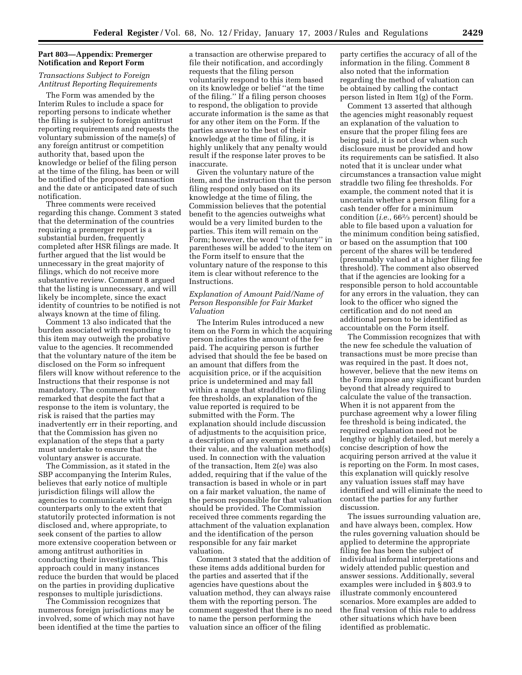# **Part 803—Appendix: Premerger Notification and Report Form**

# *Transactions Subject to Foreign Antitrust Reporting Requirements*

The Form was amended by the Interim Rules to include a space for reporting persons to indicate whether the filing is subject to foreign antitrust reporting requirements and requests the voluntary submission of the name(s) of any foreign antitrust or competition authority that, based upon the knowledge or belief of the filing person at the time of the filing, has been or will be notified of the proposed transaction and the date or anticipated date of such notification.

Three comments were received regarding this change. Comment 3 stated that the determination of the countries requiring a premerger report is a substantial burden, frequently completed after HSR filings are made. It further argued that the list would be unnecessary in the great majority of filings, which do not receive more substantive review. Comment 8 argued that the listing is unnecessary, and will likely be incomplete, since the exact identity of countries to be notified is not always known at the time of filing.

Comment 13 also indicated that the burden associated with responding to this item may outweigh the probative value to the agencies. It recommended that the voluntary nature of the item be disclosed on the Form so infrequent filers will know without reference to the Instructions that their response is not mandatory. The comment further remarked that despite the fact that a response to the item is voluntary, the risk is raised that the parties may inadvertently err in their reporting, and that the Commission has given no explanation of the steps that a party must undertake to ensure that the voluntary answer is accurate.

The Commission, as it stated in the SBP accompanying the Interim Rules, believes that early notice of multiple jurisdiction filings will allow the agencies to communicate with foreign counterparts only to the extent that statutorily protected information is not disclosed and, where appropriate, to seek consent of the parties to allow more extensive cooperation between or among antitrust authorities in conducting their investigations. This approach could in many instances reduce the burden that would be placed on the parties in providing duplicative responses to multiple jurisdictions.

The Commission recognizes that numerous foreign jurisdictions may be involved, some of which may not have been identified at the time the parties to

a transaction are otherwise prepared to file their notification, and accordingly requests that the filing person voluntarily respond to this item based on its knowledge or belief ''at the time of the filing.'' If a filing person chooses to respond, the obligation to provide accurate information is the same as that for any other item on the Form. If the parties answer to the best of their knowledge at the time of filing, it is highly unlikely that any penalty would result if the response later proves to be inaccurate.

Given the voluntary nature of the item, and the instruction that the person filing respond only based on its knowledge at the time of filing, the Commission believes that the potential benefit to the agencies outweighs what would be a very limited burden to the parties. This item will remain on the Form; however, the word ''voluntary'' in parentheses will be added to the item on the Form itself to ensure that the voluntary nature of the response to this item is clear without reference to the Instructions.

# *Explanation of Amount Paid/Name of Person Responsible for Fair Market Valuation*

The Interim Rules introduced a new item on the Form in which the acquiring person indicates the amount of the fee paid. The acquiring person is further advised that should the fee be based on an amount that differs from the acquisition price, or if the acquisition price is undetermined and may fall within a range that straddles two filing fee thresholds, an explanation of the value reported is required to be submitted with the Form. The explanation should include discussion of adjustments to the acquisition price, a description of any exempt assets and their value, and the valuation method(s) used. In connection with the valuation of the transaction, Item 2(e) was also added, requiring that if the value of the transaction is based in whole or in part on a fair market valuation, the name of the person responsible for that valuation should be provided. The Commission received three comments regarding the attachment of the valuation explanation and the identification of the person responsible for any fair market valuation.

Comment 3 stated that the addition of these items adds additional burden for the parties and asserted that if the agencies have questions about the valuation method, they can always raise them with the reporting person. The comment suggested that there is no need to name the person performing the valuation since an officer of the filing

party certifies the accuracy of all of the information in the filing. Comment 8 also noted that the information regarding the method of valuation can be obtained by calling the contact person listed in Item 1(g) of the Form.

Comment 13 asserted that although the agencies might reasonably request an explanation of the valuation to ensure that the proper filing fees are being paid, it is not clear when such disclosure must be provided and how its requirements can be satisfied. It also noted that it is unclear under what circumstances a transaction value might straddle two filing fee thresholds. For example, the comment noted that it is uncertain whether a person filing for a cash tender offer for a minimum condition (*i.e.*, 662⁄3 percent) should be able to file based upon a valuation for the minimum condition being satisfied, or based on the assumption that 100 percent of the shares will be tendered (presumably valued at a higher filing fee threshold). The comment also observed that if the agencies are looking for a responsible person to hold accountable for any errors in the valuation, they can look to the officer who signed the certification and do not need an additional person to be identified as accountable on the Form itself.

The Commission recognizes that with the new fee schedule the valuation of transactions must be more precise than was required in the past. It does not, however, believe that the new items on the Form impose any significant burden beyond that already required to calculate the value of the transaction. When it is not apparent from the purchase agreement why a lower filing fee threshold is being indicated, the required explanation need not be lengthy or highly detailed, but merely a concise description of how the acquiring person arrived at the value it is reporting on the Form. In most cases, this explanation will quickly resolve any valuation issues staff may have identified and will eliminate the need to contact the parties for any further discussion.

The issues surrounding valuation are, and have always been, complex. How the rules governing valuation should be applied to determine the appropriate filing fee has been the subject of individual informal interpretations and widely attended public question and answer sessions. Additionally, several examples were included in § 803.9 to illustrate commonly encountered scenarios. More examples are added to the final version of this rule to address other situations which have been identified as problematic.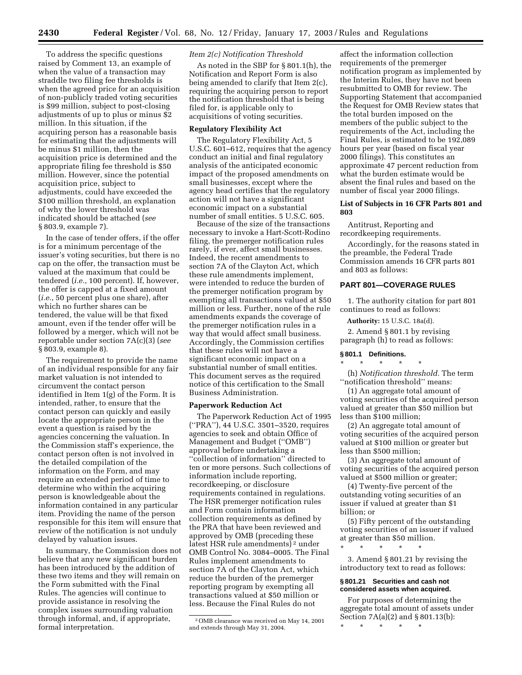To address the specific questions raised by Comment 13, an example of when the value of a transaction may straddle two filing fee thresholds is when the agreed price for an acquisition of non-publicly traded voting securities is \$99 million, subject to post-closing adjustments of up to plus or minus \$2 million. In this situation, if the acquiring person has a reasonable basis for estimating that the adjustments will be minus \$1 million, then the acquisition price is determined and the appropriate filing fee threshold is \$50 million. However, since the potential acquisition price, subject to adjustments, could have exceeded the \$100 million threshold, an explanation of why the lower threshold was indicated should be attached (*see* § 803.9, example 7).

In the case of tender offers, if the offer is for a minimum percentage of the issuer's voting securities, but there is no cap on the offer, the transaction must be valued at the maximum that could be tendered (*i.e.*, 100 percent). If, however, the offer is capped at a fixed amount (*i.e.*, 50 percent plus one share), after which no further shares can be tendered, the value will be that fixed amount, even if the tender offer will be followed by a merger, which will not be reportable under section 7A(c)(3) (*see* § 803.9, example 8).

The requirement to provide the name of an individual responsible for any fair market valuation is not intended to circumvent the contact person identified in Item 1(g) of the Form. It is intended, rather, to ensure that the contact person can quickly and easily locate the appropriate person in the event a question is raised by the agencies concerning the valuation. In the Commission staff's experience, the contact person often is not involved in the detailed compilation of the information on the Form, and may require an extended period of time to determine who within the acquiring person is knowledgeable about the information contained in any particular item. Providing the name of the person responsible for this item will ensure that review of the notification is not unduly delayed by valuation issues.

In summary, the Commission does not believe that any new significant burden has been introduced by the addition of these two items and they will remain on the Form submitted with the Final Rules. The agencies will continue to provide assistance in resolving the complex issues surrounding valuation through informal, and, if appropriate, formal interpretation.

#### *Item 2(c) Notification Threshold*

As noted in the SBP for § 801.1(h), the Notification and Report Form is also being amended to clarify that Item 2(c), requiring the acquiring person to report the notification threshold that is being filed for, is applicable only to acquisitions of voting securities.

#### **Regulatory Flexibility Act**

The Regulatory Flexibility Act, 5 U.S.C. 601–612, requires that the agency conduct an initial and final regulatory analysis of the anticipated economic impact of the proposed amendments on small businesses, except where the agency head certifies that the regulatory action will not have a significant economic impact on a substantial number of small entities. 5 U.S.C. 605.

Because of the size of the transactions necessary to invoke a Hart-Scott-Rodino filing, the premerger notification rules rarely, if ever, affect small businesses. Indeed, the recent amendments to section 7A of the Clayton Act, which these rule amendments implement, were intended to reduce the burden of the premerger notification program by exempting all transactions valued at \$50 million or less. Further, none of the rule amendments expands the coverage of the premerger notification rules in a way that would affect small business. Accordingly, the Commission certifies that these rules will not have a significant economic impact on a substantial number of small entities. This document serves as the required notice of this certification to the Small Business Administration.

### **Paperwork Reduction Act**

The Paperwork Reduction Act of 1995 (''PRA''), 44 U.S.C. 3501–3520, requires agencies to seek and obtain Office of Management and Budget (''OMB'') approval before undertaking a ''collection of information'' directed to ten or more persons. Such collections of information include reporting, recordkeeping, or disclosure requirements contained in regulations. The HSR premerger notification rules and Form contain information collection requirements as defined by the PRA that have been reviewed and approved by OMB (preceding these latest HSR rule amendments)<sup>2</sup> under OMB Control No. 3084–0005. The Final Rules implement amendments to section 7A of the Clayton Act, which reduce the burden of the premerger reporting program by exempting all transactions valued at \$50 million or less. Because the Final Rules do not

affect the information collection requirements of the premerger notification program as implemented by the Interim Rules, they have not been resubmitted to OMB for review. The Supporting Statement that accompanied the Request for OMB Review states that the total burden imposed on the members of the public subject to the requirements of the Act, including the Final Rules, is estimated to be 192,089 hours per year (based on fiscal year 2000 filings). This constitutes an approximate 47 percent reduction from what the burden estimate would be absent the final rules and based on the number of fiscal year 2000 filings.

#### **List of Subjects in 16 CFR Parts 801 and 803**

Antitrust, Reporting and recordkeeping requirements.

Accordingly, for the reasons stated in the preamble, the Federal Trade Commission amends 16 CFR parts 801 and 803 as follows:

# **PART 801—COVERAGE RULES**

1. The authority citation for part 801 continues to read as follows:

**Authority:** 15 U.S.C. 18a(d).

2. Amend § 801.1 by revising paragraph (h) to read as follows:

#### **§ 801.1 Definitions.**

\* \* \* \* \*

(h) *Notification threshold.* The term ''notification threshold'' means:

(1) An aggregate total amount of voting securities of the acquired person valued at greater than \$50 million but less than \$100 million;

(2) An aggregate total amount of voting securities of the acquired person valued at \$100 million or greater but less than \$500 million;

(3) An aggregate total amount of voting securities of the acquired person valued at \$500 million or greater;

(4) Twenty-five percent of the outstanding voting securities of an issuer if valued at greater than \$1 billion; or

(5) Fifty percent of the outstanding voting securities of an issuer if valued at greater than \$50 million.<br>  $\star$   $\quad$   $\star$   $\quad$   $\star$   $\quad$   $\star$   $\quad$ 

3. Amend § 801.21 by revising the introductory text to read as follows:

# **§ 801.21 Securities and cash not considered assets when acquired.**

For purposes of determining the aggregate total amount of assets under Section 7A(a)(2) and § 801.13(b):

\* \* \* \* \*

\* \* \* \* \*

<sup>2</sup>OMB clearance was received on May 14, 2001 and extends through May 31, 2004.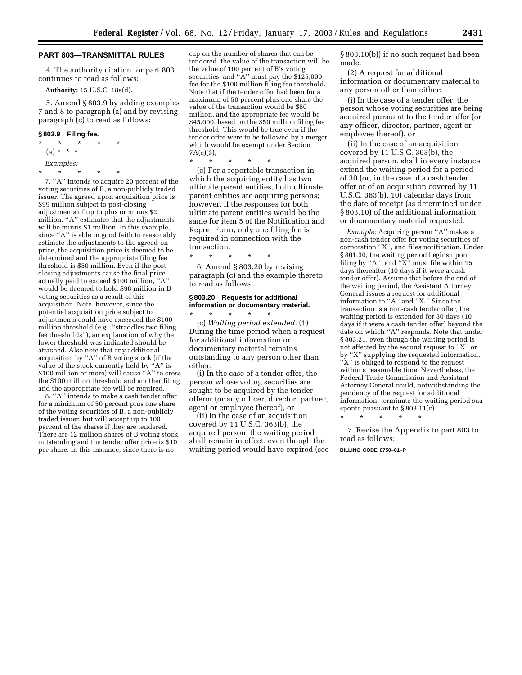#### **PART 803—TRANSMITTAL RULES**

4. The authority citation for part 803 continues to read as follows:

**Authority:** 15 U.S.C. 18a(d).

5. Amend § 803.9 by adding examples 7 and 8 to paragraph (a) and by revising paragraph (c) to read as follows:

#### **§ 803.9 Filing fee.**

\* \* \* \* \* (a) \* \* \* *Examples:* \* \* \* \* \*

7. ''A'' intends to acquire 20 percent of the voting securities of B, a non-publicly traded issuer. The agreed upon acquisition price is \$99 million subject to post-closing adjustments of up to plus or minus \$2 million. ''A'' estimates that the adjustments will be minus \$1 million. In this example, since ''A'' is able in good faith to reasonably estimate the adjustments to the agreed-on price, the acquisition price is deemed to be determined and the appropriate filing fee threshold is \$50 million. Even if the postclosing adjustments cause the final price actually paid to exceed \$100 million, ''A'' would be deemed to hold \$98 million in B voting securities as a result of this acquisition. Note, however, since the potential acquisition price subject to adjustments could have exceeded the \$100 million threshold (*e.g.*, ''straddles two filing fee thresholds''), an explanation of why the lower threshold was indicated should be attached. Also note that any additional acquisition by ''A'' of B voting stock (if the value of the stock currently held by ''A'' is \$100 million or more) will cause ''A'' to cross the \$100 million threshold and another filing and the appropriate fee will be required.

8. ''A'' intends to make a cash tender offer for a minimum of 50 percent plus one share of the voting securities of B, a non-publicly traded issuer, but will accept up to 100 percent of the shares if they are tendered. There are 12 million shares of B voting stock outstanding and the tender offer price is \$10 per share. In this instance, since there is no

cap on the number of shares that can be tendered, the value of the transaction will be the value of 100 percent of B's voting securities, and "A" must pay the \$125,000 fee for the \$100 million filing fee threshold. Note that if the tender offer had been for a maximum of 50 percent plus one share the value of the transaction would be \$60 million, and the appropriate fee would be \$45,000, based on the \$50 million filing fee threshold. This would be true even if the tender offer were to be followed by a merger which would be exempt under Section 7A(c)(3),

\* \* \* \* \*

\* \* \* \* \*

(c) For a reportable transaction in which the acquiring entity has two ultimate parent entities, both ultimate parent entities are acquiring persons; however, if the responses for both ultimate parent entities would be the same for item 5 of the Notification and Report Form, only one filing fee is required in connection with the transaction.

6. Amend § 803.20 by revising paragraph (c) and the example thereto, to read as follows:

# **§ 803.20 Requests for additional information or documentary material.**

\* \* \* \* \* (c) *Waiting period extended.* (1) During the time period when a request for additional information or documentary material remains outstanding to any person other than either:

(i) In the case of a tender offer, the person whose voting securities are sought to be acquired by the tender offeror (or any officer, director, partner, agent or employee thereof), or

(ii) In the case of an acquisition covered by 11 U.S.C. 363(b), the acquired person, the waiting period shall remain in effect, even though the waiting period would have expired (see § 803.10(b)) if no such request had been made.

(2) A request for additional information or documentary material to any person other than either:

(i) In the case of a tender offer, the person whose voting securities are being acquired pursuant to the tender offer (or any officer, director, partner, agent or employee thereof), or

(ii) In the case of an acquisition covered by 11 U.S.C. 363(b), the acquired person, shall in every instance extend the waiting period for a period of 30 (or, in the case of a cash tender offer or of an acquisition covered by 11 U.S.C. 363(b), 10) calendar days from the date of receipt (as determined under § 803.10) of the additional information or documentary material requested.

*Example:* Acquiring person ''A'' makes a non-cash tender offer for voting securities of corporation ''X'', and files notification. Under § 801.30, the waiting period begins upon filing by "A," and " $X$ " must file within 15 days thereafter (10 days if it were a cash tender offer). Assume that before the end of the waiting period, the Assistant Attorney General issues a request for additional information to ''A'' and ''X.'' Since the transaction is a non-cash tender offer, the waiting period is extended for 30 days (10 days if it were a cash tender offer) beyond the date on which ''A'' responds. Note that under § 803.21, even though the waiting period is not affected by the second request to ''X'' or by ''X'' supplying the requested information, "X" is obliged to respond to the request within a reasonable time. Nevertheless, the Federal Trade Commission and Assistant Attorney General could, notwithstanding the pendency of the request for additional information, terminate the waiting period sua sponte pursuant to § 803.11(c).

\* \* \* \* \*

7. Revise the Appendix to part 803 to read as follows:

**BILLING CODE 6750–01–P**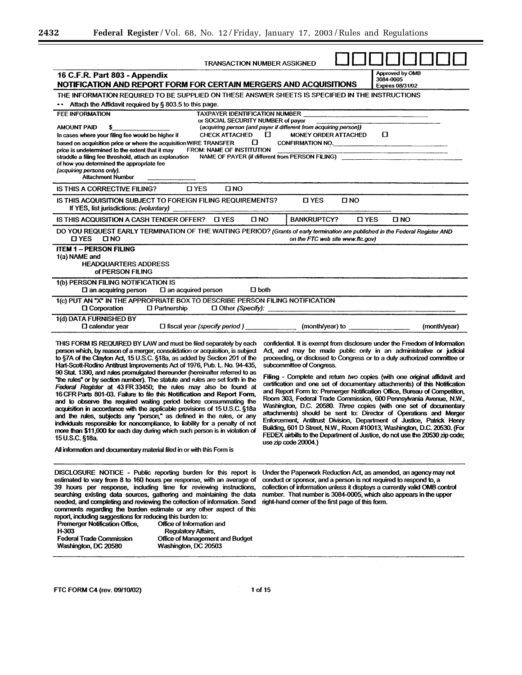eri

| <b>TRANSACTION NUMBER ASSIGNED</b>                                                                                                                                                                                                                                                                                                                                                                                                                                                                                                                                                                                                                                                                                                                                                                                                                                                                                                                                                                                                                                                                                  |                                                                                                                                                                                                                                                                                                                                                                                                                                                                                                                                                                                                                                                                                                                                                                                                                                                                                                                                                                                 |
|---------------------------------------------------------------------------------------------------------------------------------------------------------------------------------------------------------------------------------------------------------------------------------------------------------------------------------------------------------------------------------------------------------------------------------------------------------------------------------------------------------------------------------------------------------------------------------------------------------------------------------------------------------------------------------------------------------------------------------------------------------------------------------------------------------------------------------------------------------------------------------------------------------------------------------------------------------------------------------------------------------------------------------------------------------------------------------------------------------------------|---------------------------------------------------------------------------------------------------------------------------------------------------------------------------------------------------------------------------------------------------------------------------------------------------------------------------------------------------------------------------------------------------------------------------------------------------------------------------------------------------------------------------------------------------------------------------------------------------------------------------------------------------------------------------------------------------------------------------------------------------------------------------------------------------------------------------------------------------------------------------------------------------------------------------------------------------------------------------------|
| 16 C.F.R. Part 803 - Appendix<br>NOTIFICATION AND REPORT FORM FOR CERTAIN MERGERS AND ACQUISITIONS                                                                                                                                                                                                                                                                                                                                                                                                                                                                                                                                                                                                                                                                                                                                                                                                                                                                                                                                                                                                                  | Approved by OMB<br>3084-0005<br><b>Expires 08/31/02</b>                                                                                                                                                                                                                                                                                                                                                                                                                                                                                                                                                                                                                                                                                                                                                                                                                                                                                                                         |
| THE INFORMATION REQUIRED TO BE SUPPLIED ON THESE ANSWER SHEETS IS SPECIFIED IN THE INSTRUCTIONS                                                                                                                                                                                                                                                                                                                                                                                                                                                                                                                                                                                                                                                                                                                                                                                                                                                                                                                                                                                                                     |                                                                                                                                                                                                                                                                                                                                                                                                                                                                                                                                                                                                                                                                                                                                                                                                                                                                                                                                                                                 |
| Attach the Affidavit required by § 803.5 to this page.                                                                                                                                                                                                                                                                                                                                                                                                                                                                                                                                                                                                                                                                                                                                                                                                                                                                                                                                                                                                                                                              |                                                                                                                                                                                                                                                                                                                                                                                                                                                                                                                                                                                                                                                                                                                                                                                                                                                                                                                                                                                 |
| TAXPAYER IDENTIFICATION NUMBER<br>FEE INFORMATION                                                                                                                                                                                                                                                                                                                                                                                                                                                                                                                                                                                                                                                                                                                                                                                                                                                                                                                                                                                                                                                                   |                                                                                                                                                                                                                                                                                                                                                                                                                                                                                                                                                                                                                                                                                                                                                                                                                                                                                                                                                                                 |
| or SOCIAL SECURITY NUMBER of payer                                                                                                                                                                                                                                                                                                                                                                                                                                                                                                                                                                                                                                                                                                                                                                                                                                                                                                                                                                                                                                                                                  |                                                                                                                                                                                                                                                                                                                                                                                                                                                                                                                                                                                                                                                                                                                                                                                                                                                                                                                                                                                 |
| (acquiring person (and payer if different from acquiring person))<br><b>AMOUNT PAID</b><br>\$.<br>CHECK ATTACHED $\Box$<br>In cases where your filing fee would be higher if                                                                                                                                                                                                                                                                                                                                                                                                                                                                                                                                                                                                                                                                                                                                                                                                                                                                                                                                        | 0<br>MONEY ORDER ATTACHED                                                                                                                                                                                                                                                                                                                                                                                                                                                                                                                                                                                                                                                                                                                                                                                                                                                                                                                                                       |
| 0<br>based on acquisition price or where the acquisition WIRE TRANSFER                                                                                                                                                                                                                                                                                                                                                                                                                                                                                                                                                                                                                                                                                                                                                                                                                                                                                                                                                                                                                                              | CONFIRMATION NO.                                                                                                                                                                                                                                                                                                                                                                                                                                                                                                                                                                                                                                                                                                                                                                                                                                                                                                                                                                |
| FROM: NAME OF INSTITUTION<br>price is undetermined to the extent that it may                                                                                                                                                                                                                                                                                                                                                                                                                                                                                                                                                                                                                                                                                                                                                                                                                                                                                                                                                                                                                                        |                                                                                                                                                                                                                                                                                                                                                                                                                                                                                                                                                                                                                                                                                                                                                                                                                                                                                                                                                                                 |
| straddle a filing fee threshold, attach an explanation<br>of how you determined the appropriate fee                                                                                                                                                                                                                                                                                                                                                                                                                                                                                                                                                                                                                                                                                                                                                                                                                                                                                                                                                                                                                 | NAME OF PAYER (if different from PERSON FILING) _________________________________                                                                                                                                                                                                                                                                                                                                                                                                                                                                                                                                                                                                                                                                                                                                                                                                                                                                                               |
| (acquiring persons only).                                                                                                                                                                                                                                                                                                                                                                                                                                                                                                                                                                                                                                                                                                                                                                                                                                                                                                                                                                                                                                                                                           |                                                                                                                                                                                                                                                                                                                                                                                                                                                                                                                                                                                                                                                                                                                                                                                                                                                                                                                                                                                 |
| <b>Attachment Number</b>                                                                                                                                                                                                                                                                                                                                                                                                                                                                                                                                                                                                                                                                                                                                                                                                                                                                                                                                                                                                                                                                                            |                                                                                                                                                                                                                                                                                                                                                                                                                                                                                                                                                                                                                                                                                                                                                                                                                                                                                                                                                                                 |
| <b>D</b> YES<br>$\square$ NO<br>IS THIS A CORRECTIVE FILING?<br>IS THIS ACQUISITION SUBJECT TO FOREIGN FILING REQUIREMENTS?                                                                                                                                                                                                                                                                                                                                                                                                                                                                                                                                                                                                                                                                                                                                                                                                                                                                                                                                                                                         | <b>D</b> YES<br><b>DNO</b>                                                                                                                                                                                                                                                                                                                                                                                                                                                                                                                                                                                                                                                                                                                                                                                                                                                                                                                                                      |
| If YES, list jurisdictions: (voluntary)<br>the contract of the contract of the contract of the contract of                                                                                                                                                                                                                                                                                                                                                                                                                                                                                                                                                                                                                                                                                                                                                                                                                                                                                                                                                                                                          |                                                                                                                                                                                                                                                                                                                                                                                                                                                                                                                                                                                                                                                                                                                                                                                                                                                                                                                                                                                 |
| IS THIS ACQUISITION A CASH TENDER OFFER? LIYES<br>$\Box$ NO                                                                                                                                                                                                                                                                                                                                                                                                                                                                                                                                                                                                                                                                                                                                                                                                                                                                                                                                                                                                                                                         | <b>BANKRUPTCY?</b><br><b>D</b> YES<br><b>D</b> NO                                                                                                                                                                                                                                                                                                                                                                                                                                                                                                                                                                                                                                                                                                                                                                                                                                                                                                                               |
| DO YOU REQUEST EARLY TERMINATION OF THE WAITING PERIOD? (Grants of early termination are published in the Federal Register AND<br>O YES<br>ONO                                                                                                                                                                                                                                                                                                                                                                                                                                                                                                                                                                                                                                                                                                                                                                                                                                                                                                                                                                      | on the FTC web site www.flc.gov)                                                                                                                                                                                                                                                                                                                                                                                                                                                                                                                                                                                                                                                                                                                                                                                                                                                                                                                                                |
| <b>ITEM 1 - PERSON FILING</b>                                                                                                                                                                                                                                                                                                                                                                                                                                                                                                                                                                                                                                                                                                                                                                                                                                                                                                                                                                                                                                                                                       |                                                                                                                                                                                                                                                                                                                                                                                                                                                                                                                                                                                                                                                                                                                                                                                                                                                                                                                                                                                 |
| 1(a) NAME and                                                                                                                                                                                                                                                                                                                                                                                                                                                                                                                                                                                                                                                                                                                                                                                                                                                                                                                                                                                                                                                                                                       |                                                                                                                                                                                                                                                                                                                                                                                                                                                                                                                                                                                                                                                                                                                                                                                                                                                                                                                                                                                 |
| <b>HEADQUARTERS ADDRESS</b><br>of PERSON FILING                                                                                                                                                                                                                                                                                                                                                                                                                                                                                                                                                                                                                                                                                                                                                                                                                                                                                                                                                                                                                                                                     |                                                                                                                                                                                                                                                                                                                                                                                                                                                                                                                                                                                                                                                                                                                                                                                                                                                                                                                                                                                 |
| 1(b) PERSON FILING NOTIFICATION IS                                                                                                                                                                                                                                                                                                                                                                                                                                                                                                                                                                                                                                                                                                                                                                                                                                                                                                                                                                                                                                                                                  |                                                                                                                                                                                                                                                                                                                                                                                                                                                                                                                                                                                                                                                                                                                                                                                                                                                                                                                                                                                 |
| $\square$ both<br>$\square$ an acquired person<br>$\square$ an acquiring person                                                                                                                                                                                                                                                                                                                                                                                                                                                                                                                                                                                                                                                                                                                                                                                                                                                                                                                                                                                                                                     |                                                                                                                                                                                                                                                                                                                                                                                                                                                                                                                                                                                                                                                                                                                                                                                                                                                                                                                                                                                 |
| 1(c) PUT AN "X" IN THE APPROPRIATE BOX TO DESCRIBE PERSON FILING NOTIFICATION<br>□ Other (Specify):<br>$\Box$ Corporation<br>$\Box$ Partnership                                                                                                                                                                                                                                                                                                                                                                                                                                                                                                                                                                                                                                                                                                                                                                                                                                                                                                                                                                     |                                                                                                                                                                                                                                                                                                                                                                                                                                                                                                                                                                                                                                                                                                                                                                                                                                                                                                                                                                                 |
| 1(d) DATA FURNISHED BY<br>□ fiscal year (specify period) (month/year) to example and the set of the set of the set of the set of the set of the set of the set of the set of the set of the set of the set of the set of the set of the set of the set<br>$\square$ calendar year                                                                                                                                                                                                                                                                                                                                                                                                                                                                                                                                                                                                                                                                                                                                                                                                                                   | (month/year)                                                                                                                                                                                                                                                                                                                                                                                                                                                                                                                                                                                                                                                                                                                                                                                                                                                                                                                                                                    |
| THIS FORM IS REQUIRED BY LAW and must be filed separately by each<br>person which, by reason of a merger, consolidation or acquisition, is subject<br>to §7A of the Clayton Act, 15 U.S.C. §18a, as added by Section 201 of the<br>Hart-Scott-Rodino Antitrust Improvements Act of 1976, Pub. L. No. 94-435,<br>90 Stat. 1390, and rules promulgated thereunder (hereinafter referred to as<br>"the rules" or by section number). The statute and rules are set forth in the<br>Federal Register at 43 FR 33450; the rules may also be found at<br>16 CFR Parts 801-03. Failure to file this Notification and Report Form,<br>and to observe the required waiting period before consummating the<br>acquisition in accordance with the applicable provisions of 15 U.S.C. §18a<br>and the rules, subjects any "person," as defined in the rules, or any<br>individuals responsible for noncompliance, to liability for a penalty of not<br>more than \$11,000 for each day during which such person is in violation of<br>15 U.S.C. §18a.<br>All information and documentary material filed in or with this Form is | confidential. It is exempt from disclosure under the Freedom of Information<br>Act, and may be made public only in an administrative or judicial<br>proceeding, or disclosed to Congress or to a duly authorized committee or<br>subcommittee of Congress.<br>Filing - Complete and return two copies (with one original affidavit and<br>certification and one set of documentary attachments) of this Notification<br>and Report Form to: Premerger Notification Office, Bureau of Competition,<br>Room 303, Federal Trade Commission, 600 Pennsylvania Avenue, N.W.,<br>Washington, D.C. 20580. Three copies (with one set of documentary<br>attachments) should be sent to: Director of Operations and Merger<br>Enforcement, Antitrust Division, Department of Justice, Patrick Henry<br>Building, 601 D Street, N.W., Room #10013, Washington, D.C. 20530. (For<br>FEDEX airbills to the Department of Justice, do not use the 20530 zip code;<br>use zip code $20004$ .) |
| DISCLOSURE NOTICE - Public reporting burden for this report is<br>estimated to vary from 8 to 160 hours per response, with an average of<br>39 hours per response, including time for reviewing instructions,<br>searching existing data sources, gathering and maintaining the data<br>needed, and completing and reviewing the collection of information. Send<br>comments regarding the burden estimate or any other aspect of this<br>report, including suggestions for reducing this burden to:<br>Premerger Notification Office,<br>Office of Information and<br>H-303<br>Regulatory Affairs,<br><b>Federal Trade Commission</b><br>Office of Management and Budget<br>Washington, DC 20580<br>Washington, DC 20503                                                                                                                                                                                                                                                                                                                                                                                           | Under the Paperwork Reduction Act, as amended, an agency may not<br>conduct or sponsor, and a person is not required to respond to, a<br>collection of information unless it displays a currently valid OMB control<br>number. That number is 3084-0005, which also appears in the upper-<br>right-hand corner of the first page of this form.                                                                                                                                                                                                                                                                                                                                                                                                                                                                                                                                                                                                                                  |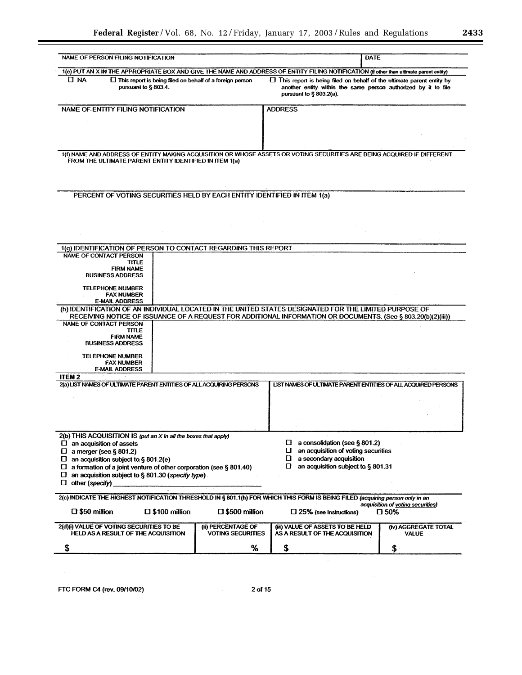۰

| NAME OF PERSON FILING NOTIFICATION                                                                 |                         |                                                                    | <b>DATE</b>                                                                                                                                                                                                            |                                                    |
|----------------------------------------------------------------------------------------------------|-------------------------|--------------------------------------------------------------------|------------------------------------------------------------------------------------------------------------------------------------------------------------------------------------------------------------------------|----------------------------------------------------|
|                                                                                                    |                         |                                                                    | 1(e) PUT AN X IN THE APPROPRIATE BOX AND GIVE THE NAME AND ADDRESS OF ENTITY FILING NOTIFICATION (if other than ultimate parent entity)                                                                                |                                                    |
| $\Box$ NA<br>pursuant to § 803.4.                                                                  |                         | $\square$ This report is being filed on behalf of a foreign person | $\Box$ This report is being filed on behalf of the ultimate parent entity by<br>another entity within the same person authorized by it to file<br>pursuant to § 803.2(a).                                              |                                                    |
| NAME OF ENTITY FILING NOTIFICATION                                                                 |                         |                                                                    | <b>ADDRESS</b>                                                                                                                                                                                                         |                                                    |
|                                                                                                    |                         |                                                                    |                                                                                                                                                                                                                        |                                                    |
|                                                                                                    |                         |                                                                    |                                                                                                                                                                                                                        |                                                    |
|                                                                                                    |                         |                                                                    |                                                                                                                                                                                                                        |                                                    |
| FROM THE ULTIMATE PARENT ENTITY IDENTIFIED IN ITEM 1(a)                                            |                         |                                                                    | 1(1) NAME AND ADDRESS OF ENTITY MAKING ACQUISITION OR WHOSE ASSETS OR VOTING SECURITIES ARE BEING ACQUIRED IF DIFFERENT                                                                                                |                                                    |
|                                                                                                    |                         |                                                                    |                                                                                                                                                                                                                        |                                                    |
| PERCENT OF VOTING SECURITIES HELD BY EACH ENTITY IDENTIFIED IN ITEM 1(a)                           |                         |                                                                    |                                                                                                                                                                                                                        |                                                    |
|                                                                                                    |                         |                                                                    |                                                                                                                                                                                                                        |                                                    |
|                                                                                                    |                         |                                                                    |                                                                                                                                                                                                                        |                                                    |
|                                                                                                    |                         |                                                                    |                                                                                                                                                                                                                        |                                                    |
|                                                                                                    |                         |                                                                    |                                                                                                                                                                                                                        |                                                    |
| 1(g) IDENTIFICATION OF PERSON TO CONTACT REGARDING THIS REPORT                                     |                         |                                                                    |                                                                                                                                                                                                                        |                                                    |
| <b>NAME OF CONTACT PERSON</b><br>TITLE.                                                            |                         |                                                                    |                                                                                                                                                                                                                        |                                                    |
| <b>FIRM NAME</b><br><b>BUSINESS ADDRESS</b>                                                        |                         |                                                                    |                                                                                                                                                                                                                        |                                                    |
| <b>TELEPHONE NUMBER</b><br><b>FAX NUMBER</b><br><b>E-MAIL ADDRESS</b>                              |                         |                                                                    |                                                                                                                                                                                                                        |                                                    |
|                                                                                                    |                         |                                                                    | (h) IDENTIFICATION OF AN INDIVIDUAL LOCATED IN THE UNITED STATES DESIGNATED FOR THE LIMITED PURPOSE OF<br>RECEIVING NOTICE OF ISSUANCE OF A REQUEST FOR ADDITIONAL INFORMATION OR DOCUMENTS. (See § 803.20(b)(2)(iii)) |                                                    |
| NAME OF CONTACT PERSON                                                                             |                         |                                                                    |                                                                                                                                                                                                                        |                                                    |
| TITLE<br><b>FIRM NAME</b>                                                                          |                         |                                                                    |                                                                                                                                                                                                                        |                                                    |
| <b>BUSINESS ADDRESS</b>                                                                            |                         |                                                                    |                                                                                                                                                                                                                        |                                                    |
| <b>TELEPHONE NUMBER</b>                                                                            |                         |                                                                    |                                                                                                                                                                                                                        |                                                    |
| <b>FAX NUMBER</b><br><b>E-MAIL ADDRESS</b>                                                         |                         |                                                                    |                                                                                                                                                                                                                        |                                                    |
| <b>ITEM2</b>                                                                                       |                         |                                                                    |                                                                                                                                                                                                                        |                                                    |
| 2(a) LIST NAMES OF ULTIMATE PARENT ENTITIES OF ALL ACQUIRING PERSONS                               |                         |                                                                    | LIST NAMES OF ULTIMATE PARENT ENTITIES OF ALL ACQUIRED PERSONS                                                                                                                                                         |                                                    |
|                                                                                                    |                         |                                                                    |                                                                                                                                                                                                                        |                                                    |
|                                                                                                    |                         |                                                                    |                                                                                                                                                                                                                        |                                                    |
|                                                                                                    |                         |                                                                    |                                                                                                                                                                                                                        |                                                    |
|                                                                                                    |                         |                                                                    |                                                                                                                                                                                                                        |                                                    |
| 2(b) THIS ACQUISITION IS (put an X in all the boxes that apply)<br>$\Box$ an acquisition of assets |                         |                                                                    | a consolidation (see § 801.2)<br>O                                                                                                                                                                                     |                                                    |
| a merger (see $§$ 801.2)<br>ப                                                                      |                         |                                                                    | an acquisition of voting securities<br>П                                                                                                                                                                               |                                                    |
| an acquisition subject to $\S 801.2(e)$<br>O                                                       |                         |                                                                    | a secondary acquisition<br>O                                                                                                                                                                                           |                                                    |
| a formation of a joint venture of other corporation (see § 801.40)<br>u.                           |                         |                                                                    | O<br>an acquisition subject to § 801.31                                                                                                                                                                                |                                                    |
| an acquisition subject to § 801.30 (specify type).<br>U<br>other (specify)<br>O.                   |                         |                                                                    |                                                                                                                                                                                                                        |                                                    |
|                                                                                                    |                         |                                                                    | 2(c) INDICATE THE HIGHEST NOTIFICATION THRESHOLD IN § 801.1(h) FOR WHICH THIS FORM IS BEING FILED (acquiring person only in an                                                                                         |                                                    |
| $\square$ \$50 million                                                                             | $\square$ \$100 million | $\square$ \$500 million                                            | $\square$ 25% (see Instructions)                                                                                                                                                                                       | acquisition of voting securities)<br>$\square$ 50% |
| 2(d)(i) VALUE OF VOTING SECURITIES TO BE                                                           |                         | (ii) PERCENTAGE OF                                                 | (iii) VALUE OF ASSETS TO BE HELD                                                                                                                                                                                       | (iv) AGGREGATE TOTAL                               |
| HELD AS A RESULT OF THE ACQUISITION                                                                |                         | <b>VOTING SECURITIES</b>                                           | AS A RESULT OF THE ACQUISITION                                                                                                                                                                                         | VALUE                                              |
| \$                                                                                                 |                         | %                                                                  | \$                                                                                                                                                                                                                     | \$                                                 |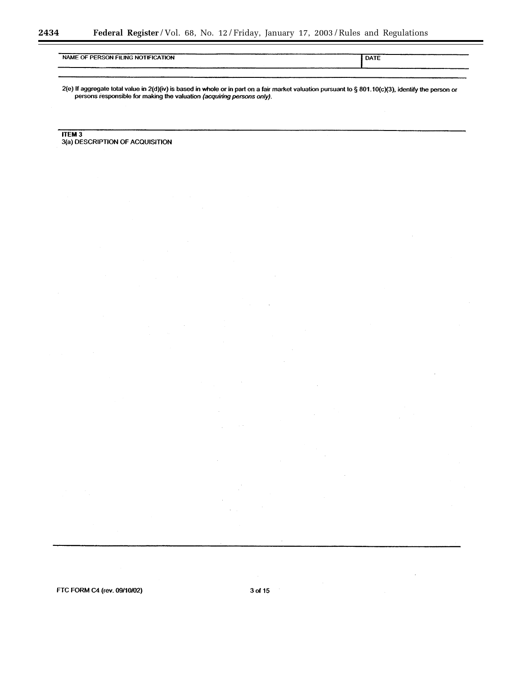| NAME OF PERSON FILING NOTIFICATION | DATE |
|------------------------------------|------|
|                                    |      |
|                                    |      |

2(e) If aggregate total value in 2(d)(iv) is based in whole or in part on a fair market valuation pursuant to § 801.10(c)(3), identify the person or persons responsible for making the valuation (acquiring persons only).

**ITEM 3** 3(a) DESCRIPTION OF ACQUISITION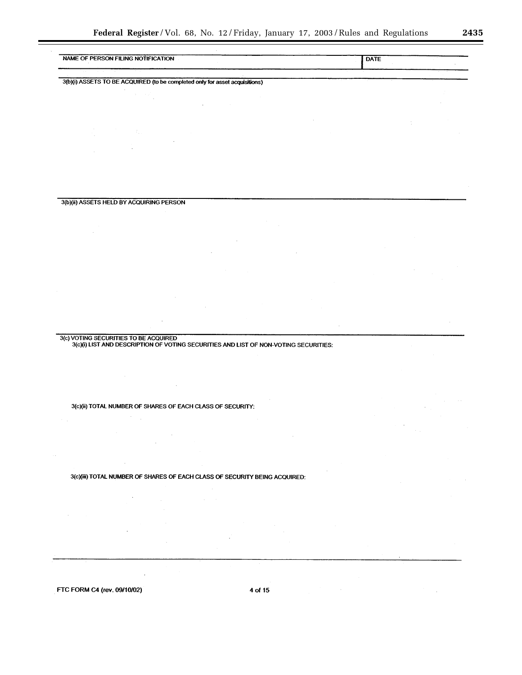— —  $\overline{\phantom{0}}$ 

 $\overline{\phantom{0}}$ 

| NAME OF PERSON FILING NOTIFICATION                                          | <b>DATE</b> |
|-----------------------------------------------------------------------------|-------------|
|                                                                             |             |
| 3(b)(i) ASSETS TO BE ACQUIRED (to be completed only for asset acquisitions) |             |
|                                                                             |             |
|                                                                             |             |
|                                                                             |             |
|                                                                             |             |
|                                                                             |             |
|                                                                             |             |
|                                                                             |             |
|                                                                             |             |
|                                                                             |             |
| 3(b)(ii) ASSETS HELD BY ACQUIRING PERSON                                    |             |
|                                                                             |             |
|                                                                             |             |
|                                                                             |             |
|                                                                             |             |
|                                                                             |             |
|                                                                             |             |
|                                                                             |             |
|                                                                             |             |
|                                                                             |             |
|                                                                             |             |
|                                                                             |             |
| 3(c)(ii) TOTAL NUMBER OF SHARES OF EACH CLASS OF SECURITY:                  |             |
|                                                                             |             |
|                                                                             |             |
|                                                                             |             |
|                                                                             |             |
|                                                                             |             |
| 3(c)(iii) TOTAL NUMBER OF SHARES OF EACH CLASS OF SECURITY BEING ACQUIRED:  |             |
|                                                                             |             |
|                                                                             |             |
|                                                                             |             |
|                                                                             |             |
|                                                                             |             |
|                                                                             |             |
| $\sim$                                                                      |             |
|                                                                             |             |
|                                                                             |             |
| FTC FORM C4 (rev. 09/10/02)<br>4 of 15                                      |             |
|                                                                             |             |
|                                                                             |             |
|                                                                             |             |
|                                                                             |             |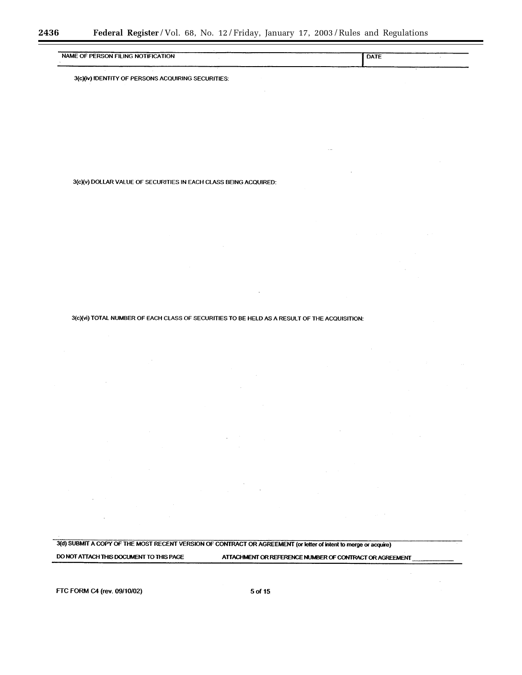| NAME OF PERSON FILING NOTIFICATION | <b>DATE</b> |
|------------------------------------|-------------|
|                                    |             |
|                                    |             |

3(c)(iv) IDENTITY OF PERSONS ACQUIRING SECURITIES:

3(c)(v) DOLLAR VALUE OF SECURITIES IN EACH CLASS BEING ACQUIRED:

3(c)(vi) TOTAL NUMBER OF EACH CLASS OF SECURITIES TO BE HELD AS A RESULT OF THE ACQUISITION:

3(d) SUBMIT A COPY OF THE MOST RECENT VERSION OF CONTRACT OR AGREEMENT (or letter of intent to merge or acquire)

DO NOT ATTACH THIS DOCUMENT TO THIS PAGE

ATTACHMENT OR REFERENCE NUMBER OF CONTRACT OR AGREEMENT

FTC FORM C4 (rev. 09/10/02)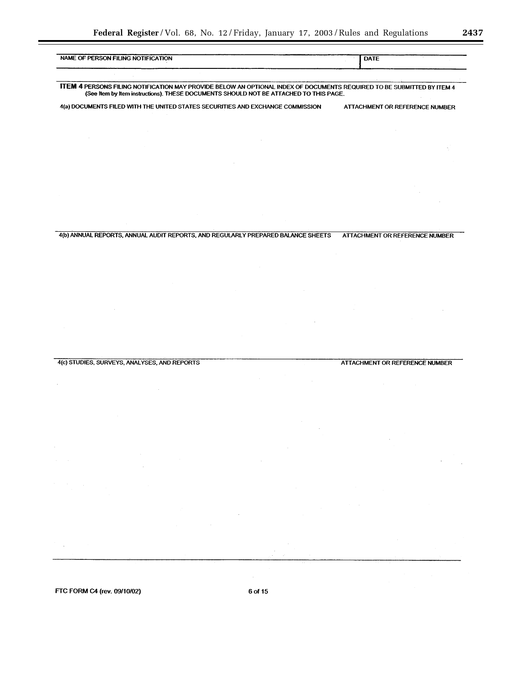| NAME OF PERSON FILING NOTIFICATION |                                              |                                                                                       | <b>DATE</b>                                                                                                            |
|------------------------------------|----------------------------------------------|---------------------------------------------------------------------------------------|------------------------------------------------------------------------------------------------------------------------|
|                                    |                                              |                                                                                       |                                                                                                                        |
|                                    |                                              | (See Item by Item instructions). THESE DOCUMENTS SHOULD NOT BE ATTACHED TO THIS PAGE. | ITEM 4 PERSONS FILING NOTIFICATION MAY PROVIDE BELOW AN OPTIONAL INDEX OF DOCUMENTS REQUIRED TO BE SUBMITTED BY ITEM 4 |
|                                    |                                              | 4(a) DOCUMENTS FILED WITH THE UNITED STATES SECURITIES AND EXCHANGE COMMISSION        | ATTACHMENT OR REFERENCE NUMBER                                                                                         |
|                                    |                                              |                                                                                       |                                                                                                                        |
|                                    |                                              |                                                                                       |                                                                                                                        |
|                                    |                                              |                                                                                       |                                                                                                                        |
|                                    |                                              |                                                                                       |                                                                                                                        |
|                                    |                                              |                                                                                       |                                                                                                                        |
|                                    |                                              |                                                                                       |                                                                                                                        |
|                                    |                                              |                                                                                       |                                                                                                                        |
|                                    |                                              | 4(b) ANNUAL REPORTS, ANNUAL AUDIT REPORTS, AND REGULARLY PREPARED BALANCE SHEETS      | ATTACHMENT OR REFERENCE NUMBER                                                                                         |
|                                    |                                              |                                                                                       |                                                                                                                        |
|                                    |                                              |                                                                                       |                                                                                                                        |
|                                    |                                              |                                                                                       |                                                                                                                        |
|                                    |                                              |                                                                                       |                                                                                                                        |
|                                    |                                              |                                                                                       |                                                                                                                        |
|                                    |                                              |                                                                                       |                                                                                                                        |
|                                    |                                              |                                                                                       |                                                                                                                        |
|                                    | 4(c) STUDIES, SURVEYS, ANALYSES, AND REPORTS |                                                                                       | <b>ATTACHMENT OR REFERENCE NUMBER</b>                                                                                  |
|                                    |                                              |                                                                                       |                                                                                                                        |
|                                    |                                              |                                                                                       |                                                                                                                        |
|                                    |                                              |                                                                                       |                                                                                                                        |
|                                    |                                              |                                                                                       |                                                                                                                        |
|                                    |                                              |                                                                                       |                                                                                                                        |
|                                    |                                              |                                                                                       |                                                                                                                        |
|                                    |                                              |                                                                                       |                                                                                                                        |
|                                    |                                              |                                                                                       |                                                                                                                        |
|                                    |                                              |                                                                                       |                                                                                                                        |
|                                    |                                              |                                                                                       |                                                                                                                        |
|                                    |                                              |                                                                                       |                                                                                                                        |
|                                    |                                              |                                                                                       |                                                                                                                        |
|                                    |                                              |                                                                                       |                                                                                                                        |
| FTC FORM C4 (rev. 09/10/02)        |                                              | 6 of 15                                                                               |                                                                                                                        |
|                                    |                                              |                                                                                       |                                                                                                                        |
|                                    |                                              |                                                                                       |                                                                                                                        |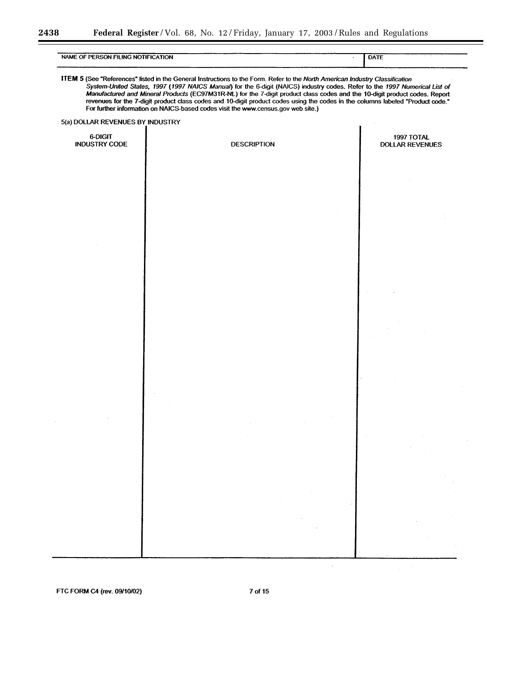۳

| NAME OF PERSON FILING NOTIFICATION |                                                                                                                                                                                                                                                                                                                                                                                                                                                                                                                                                                                                                | DATE                                 |
|------------------------------------|----------------------------------------------------------------------------------------------------------------------------------------------------------------------------------------------------------------------------------------------------------------------------------------------------------------------------------------------------------------------------------------------------------------------------------------------------------------------------------------------------------------------------------------------------------------------------------------------------------------|--------------------------------------|
|                                    | ITEM 5 (See "References" listed in the General Instructions to the Form. Refer to the North American Industry Classification<br>System-United States, 1997 (1997 NAICS Manual) for the 6-digit (NAICS) industry codes. Refer to the 1997 Numerical List of<br>Manufactured and Mineral Products (EC97M31R-NL) for the 7-digit product class codes and the 10-digit product codes. Report<br>revenues for the 7-digit product class codes and 10-digit product codes using the codes in the columns labeled "Product code."<br>For further information on NAICS-based codes visit the www.census.gov web site.) |                                      |
| 5(a) DOLLAR REVENUES BY INDUSTRY   |                                                                                                                                                                                                                                                                                                                                                                                                                                                                                                                                                                                                                |                                      |
| 6-DIGIT<br><b>INDUSTRY CODE</b>    | <b>DESCRIPTION</b>                                                                                                                                                                                                                                                                                                                                                                                                                                                                                                                                                                                             | 1997 TOTAL<br><b>DOLLAR REVENUES</b> |
|                                    |                                                                                                                                                                                                                                                                                                                                                                                                                                                                                                                                                                                                                |                                      |
|                                    |                                                                                                                                                                                                                                                                                                                                                                                                                                                                                                                                                                                                                |                                      |
|                                    |                                                                                                                                                                                                                                                                                                                                                                                                                                                                                                                                                                                                                |                                      |
|                                    |                                                                                                                                                                                                                                                                                                                                                                                                                                                                                                                                                                                                                |                                      |
|                                    |                                                                                                                                                                                                                                                                                                                                                                                                                                                                                                                                                                                                                |                                      |
|                                    |                                                                                                                                                                                                                                                                                                                                                                                                                                                                                                                                                                                                                |                                      |
|                                    |                                                                                                                                                                                                                                                                                                                                                                                                                                                                                                                                                                                                                |                                      |
|                                    |                                                                                                                                                                                                                                                                                                                                                                                                                                                                                                                                                                                                                |                                      |

FTC FORM C4 (rev. 09/10/02)

7 of 15

 $\bar{z}$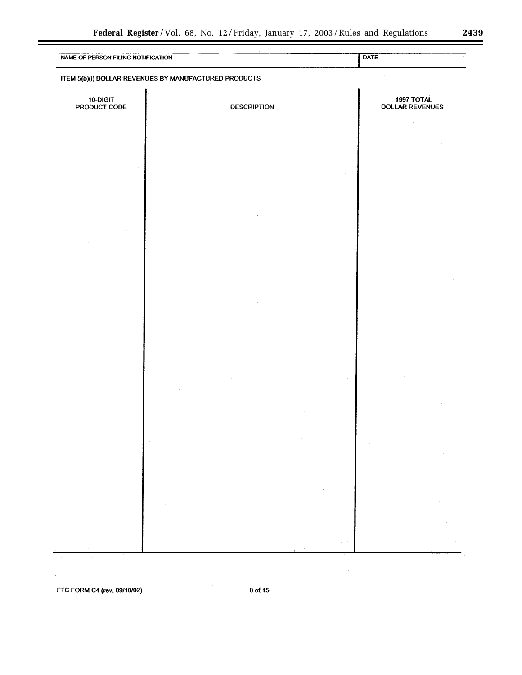$\lambda_{\rm c}$ 

| NAME OF PERSON FILING NOTIFICATION |                                                       | <b>DATE</b>                          |
|------------------------------------|-------------------------------------------------------|--------------------------------------|
|                                    | ITEM 5(b)(i) DOLLAR REVENUES BY MANUFACTURED PRODUCTS |                                      |
| 10-DIGIT<br>PRODUCT CODE           | <b>DESCRIPTION</b>                                    | 1997 TOTAL<br><b>DOLLAR REVENUES</b> |
|                                    |                                                       |                                      |
|                                    |                                                       |                                      |
|                                    |                                                       |                                      |
|                                    |                                                       |                                      |
|                                    |                                                       |                                      |
|                                    |                                                       |                                      |
|                                    |                                                       |                                      |
|                                    |                                                       |                                      |
|                                    |                                                       |                                      |
|                                    |                                                       |                                      |
|                                    |                                                       |                                      |
|                                    |                                                       |                                      |
|                                    |                                                       |                                      |
|                                    |                                                       |                                      |
|                                    |                                                       |                                      |
|                                    |                                                       |                                      |
|                                    |                                                       |                                      |
|                                    | $\sim$<br>$\sim$                                      |                                      |
|                                    |                                                       |                                      |
|                                    |                                                       |                                      |
|                                    |                                                       |                                      |
|                                    |                                                       |                                      |
|                                    |                                                       |                                      |
|                                    |                                                       |                                      |

FTC FORM C4 (rev. 09/10/02)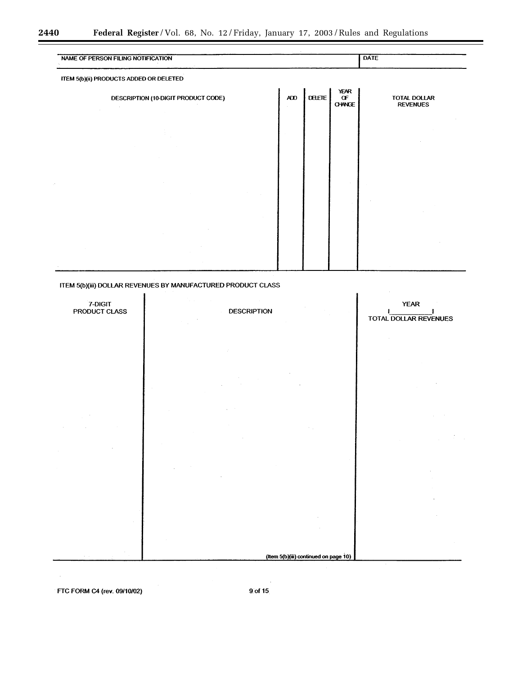| NAME OF PERSON FILING NOTIFICATION      |     |        |                                          | DATE                            |  |
|-----------------------------------------|-----|--------|------------------------------------------|---------------------------------|--|
| ITEM 5(b)(ii) PRODUCTS ADDED OR DELETED |     |        |                                          |                                 |  |
| DESCRIPTION (10-DIGIT PRODUCT CODE)     | ADD | DELETE | <b>YEAR</b><br>$\sigma$<br><b>CHANGE</b> | TOTAL DOLLAR<br><b>REVENUES</b> |  |
|                                         |     |        |                                          |                                 |  |
|                                         |     |        |                                          |                                 |  |
|                                         |     |        |                                          |                                 |  |
|                                         |     |        |                                          |                                 |  |
|                                         |     |        |                                          |                                 |  |
|                                         |     |        |                                          |                                 |  |

ITEM 5(b)(iii) DOLLAR REVENUES BY MANUFACTURED PRODUCT CLASS



FTC FORM C4 (rev. 09/10/02)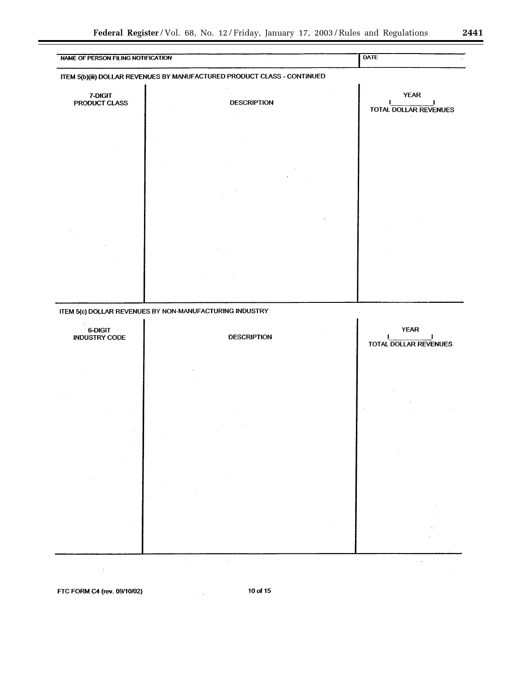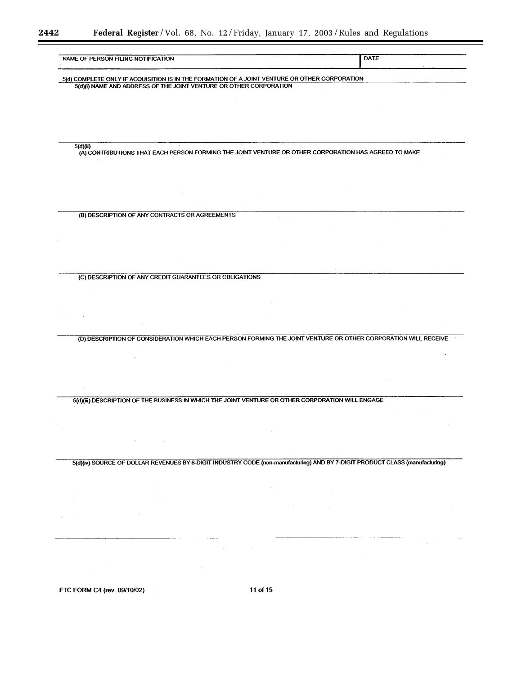Ξ

▀

| NAME OF PERSON FILING NOTIFICATION                                                                                           | DATE |
|------------------------------------------------------------------------------------------------------------------------------|------|
| 5(d) COMPLETE ONLY IF ACQUISITION IS IN THE FORMATION OF A JOINT VENTURE OR OTHER CORPORATION                                |      |
| 5(d)(i) NAME AND ADDRESS OF THE JOINT VENTURE OR OTHER CORPORATION                                                           |      |
|                                                                                                                              |      |
|                                                                                                                              |      |
|                                                                                                                              |      |
|                                                                                                                              |      |
| 5(d)(ii)<br>(A) CONTRIBUTIONS THAT EACH PERSON FORMING THE JOINT VENTURE OR OTHER CORPORATION HAS AGREED TO MAKE             |      |
|                                                                                                                              |      |
|                                                                                                                              |      |
|                                                                                                                              |      |
|                                                                                                                              |      |
| (B) DESCRIPTION OF ANY CONTRACTS OR AGREEMENTS                                                                               |      |
|                                                                                                                              |      |
|                                                                                                                              |      |
|                                                                                                                              |      |
|                                                                                                                              |      |
| (C) DESCRIPTION OF ANY CREDIT GUARANTEES OR OBLIGATIONS                                                                      |      |
|                                                                                                                              |      |
|                                                                                                                              |      |
|                                                                                                                              |      |
|                                                                                                                              |      |
|                                                                                                                              |      |
| (D) DESCRIPTION OF CONSIDERATION WHICH EACH PERSON FORMING THE JOINT VENTURE OR OTHER CORPORATION WILL RECEIVE               |      |
|                                                                                                                              |      |
|                                                                                                                              |      |
|                                                                                                                              |      |
|                                                                                                                              |      |
| 5(d)(iii) DESCRIPTION OF THE BUSINESS IN WHICH THE JOINT VENTURE OR OTHER CORPORATION WILL ENGAGE                            |      |
|                                                                                                                              |      |
|                                                                                                                              |      |
| $\sim$                                                                                                                       |      |
|                                                                                                                              |      |
| 5(d)(iv) SOURCE OF DOLLAR REVENUES BY 6-DIGIT INDUSTRY CODE (non-manufacturing) AND BY 7-DIGIT PRODUCT CLASS (manufacturing) |      |
|                                                                                                                              |      |
|                                                                                                                              |      |
|                                                                                                                              |      |
|                                                                                                                              |      |
|                                                                                                                              |      |
|                                                                                                                              |      |
|                                                                                                                              |      |
|                                                                                                                              |      |
| 11 of 15<br>FTC FORM C4 (rev. 09/10/02)                                                                                      |      |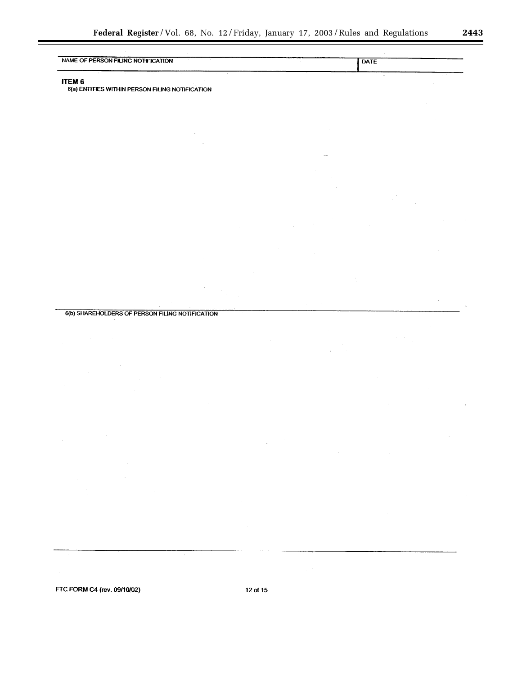۲

| -----                              |      |
|------------------------------------|------|
| NAME OF PERSON FILING NOTIFICATION | DATE |
|                                    |      |
|                                    |      |
|                                    |      |

# ITEM<sub>6</sub>

6(a) ENTITIES WITHIN PERSON FILING NOTIFICATION

6(b) SHAREHOLDERS OF PERSON FILING NOTIFICATION

FTC FORM C4 (rev. 09/10/02)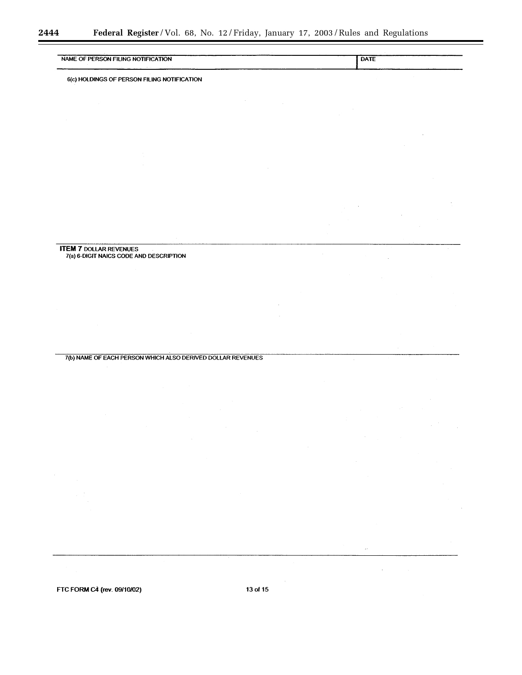| <b>NOTIFICATION</b><br><b>NAME</b><br>മ<br>∙∩м сп<br>HMG NOT<br>- 11 | DATE |
|----------------------------------------------------------------------|------|
|                                                                      |      |

6(c) HOLDINGS OF PERSON FILING NOTIFICATION

**ITEM 7 DOLLAR REVENUES<br>
7(a) 6-DIGIT NAICS CODE AND DESCRIPTION** 

7(b) NAME OF EACH PERSON WHICH ALSO DERIVED DOLLAR REVENUES

FTC FORM C4 (rev. 09/10/02)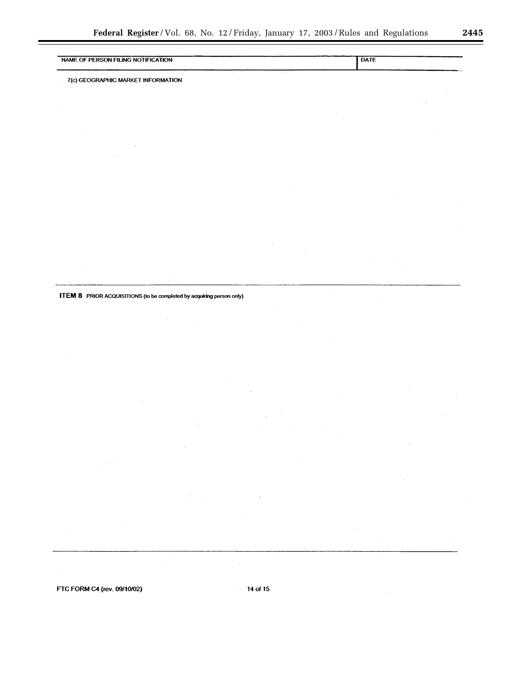| NAME OF PERSON FILING NOTIFICATION |  |  |  | DATE |  |
|------------------------------------|--|--|--|------|--|
|                                    |  |  |  |      |  |
|                                    |  |  |  |      |  |

 $\hat{\mathcal{A}}$ 

7(c) GEOGRAPHIC MARKET INFORMATION

ITEM 8 PRIOR ACQUISITIONS (to be completed by acquiring person only)